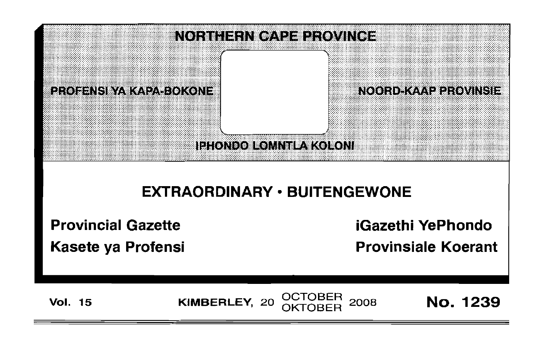

# EXTRAORDINARY • BUITENGEWONE

Provincial Gazette

Kasete ya Profensi

iGazethi YePhondo

Provinsiale Koerant

Vol. 15 KIMBERLEY, 20 OCTOBER 2008 **No. 1239**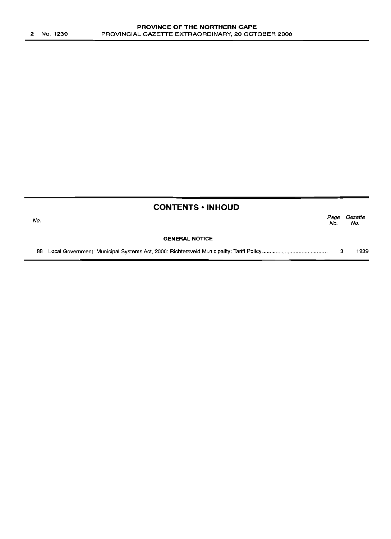|     | <b>CONTENTS • INHOUD</b> |             |                |
|-----|--------------------------|-------------|----------------|
| No. |                          | Page<br>No. | Gazette<br>No. |
|     | <b>GENERAL NOTICE</b>    |             |                |
| 88  |                          | з           | 1239           |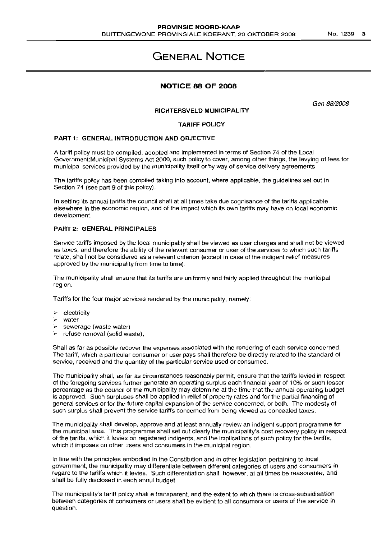# **GENERAL NOTICE**

# **NOTICE 88 OF 2008**

Gen 88/2008

# **RICHTERSVELD MUNICIPALITY**

#### **TARIFF POLICY**

#### **PART** 1: **GENERAL INTRODUCTION AND OBJECTIVE**

A tariff policy must be compiled, adopted and implemented in terms of Section 74 of the Local Government: Municipal Systems Act 2000, such policy to cover, among other things, the levying of fees for municipal services provided by the municipality itself or by way of service delivery agreements

The tariffs policy has been compiled taking into account, where applicable, the quidelines set out in Section 74 (see part 9 of this policy).

In setting its annual tariffs the council shall at all times take due cognisance of the tariffs applicable elsewhere in the economic region, and of the impact which its own tariffs may have on local economic development.

## **PART 2: GENERAL PRINCIPALES**

Service tariffs imposed by the local municipality shall be viewed as user charges and shall not be viewed as taxes, and therefore the ability of the relevant consumer or user of the services to which such tariffs relate, shall not be considered as a relevant criterion (except in case of the indigent relief measures approved by the municipality from time to time).

The municipality shall ensure that its tariffs are uniformly and fairly applied throughout the municipal region.

Tariffs for the four major services rendered by the municipality, namely:

- electricity
- water
- sewerage (waste water)
- refuse removal (solid waste).

Shall as far as possible recover the expenses associated with the rendering of each service concerned. The tariff, which a particular consumer or user pays shall therefore be directly related to the standard of service, received and the quantity of the particular service used or consumed.

The municipality shall, as far as circumstances reasonably permit, ensure that the tariffs levied in respect of the foregoing services further generate an operating surplus each financial year of 10% or such lesser percentage as the council of the municipality may determine at the time that the annual operating budget is approved. Such surpluses shall be applied in relief of property rates and for the partial financing of general services or for the future capital expansion of the service concerned, or both. The modesty of such surplus shall prevent the service tariffs concerned from being viewed as concealed taxes.

The municipality shall develop, approve and at least annually review an indigent support programme for the municipal area. This programme shall set out clearly the municipality's cost recovery policy in respect of the tariffs, which it levies on registered indigents, and the implications of such policy for the tariffs, which it imposes on other users and consumers in the municipal region.

In line with the principles embodied in the Constitution and in other legislation pertaining to local government, the municipality may differentiate between different categories of users and consumers in regard to the tariffs which it levies. Such differentiation shall, however, at all times be reasonable, and shall be fully disclosed in each annul budqet.

The municipality's tariff policy shall e transparent, and the extent to which there is cross-subsidisation between categories of consumers or users shall be evident to all consumers or users of the service in question.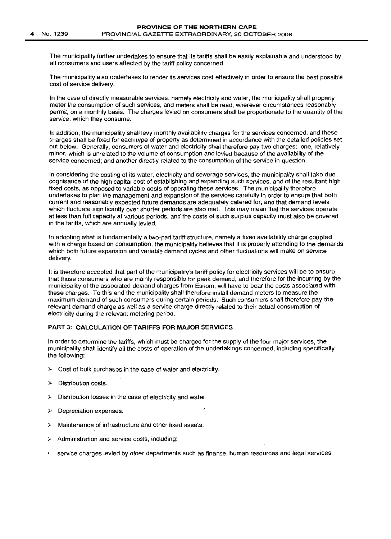The municipality further undertakes to ensure that its tariffs shall be easily explainable and understood by all consumers and users affected by the tariff policy concerned.

The municipality also undertakes to render its services cost effectively in order to ensure the best possible cost of service delivery.

In the case of directly measurable services, namely electricity and water, the municipality shall properly meter the consumption of such services, and meters shall be read, wherever circumstances reasonably permit, on a monthly basis. The charges levied on consumers shall be proportionate to the quantity of the service, which they consume.

In addition, the municipality shall levy monthly availability charges for the services concerned, and these charges shall be fixed for each type of property as determined in accordance with the detailed policies set out below. Generally, consumers of water and electricity shall therefore pay two charges: one, relatively minor, which is unrelated to the volume of consumption and levied because of the availability of the service concerned; and another directly related to the consumption of the service in question.

In considering the costing of its water, electricity and sewerage services, the municipality shall take due cognisance of the high capital cost of establishing and expanding such services, and of the resultant high fixed costs, as opposed to variable costs of operating these services. The municipality therefore undertakes to plan the management and expansion of the services carefully in order to ensure that both current and reasonably expected future demands are adequately catered for, and that demand levels which fluctuate significantly over shorter periods are also met. This may mean that the services operate at less than full capacity at various periods, and the costs of such surplus capacity must also be covered in the tariffs, which are annually levied.

In adopting what is fundamentally a two-part tariff structure, namely a fixed availability charge coupled with a charge based on consumption, the municipality believes that it is properly attending to the demands which both future expansion and variable demand cycles and other fluctuations will make on service delivery.

It is therefore accepted that part of the municipality's tariff policy for electricity services will be to ensure that those consumers who are mainly responsible for peak demand, and therefore for the incurring by the municipality of the associated demand charges from Eskom, will have to bear the costs associated with these charges. To this end the municipality shall therefore install demand meters to measure the maximum demand of such consumers during certain periods. Such consumers shall therefore pay the relevant demand charge as well as a service charge directly related to their actual consumption of electricity during the relevant metering period.

# PART 3: CALCULATION OF TARIFFS FOR MAJOR SERVICES

In order to determine the tariffs, which must be charged for the supply of the four major services, the municipality shall identify all the costs of operation of the undertakings concerned, including specifically the following:

- $\triangleright$  Cost of bulk purchases in the case of water and electricity.
- Distribution costs.
- Distribution losses in the case of electricity and water.
- $\triangleright$  Depreciation expenses.
- $\triangleright$  Maintenance of infrastructure and other fixed assets.
- $\triangleright$  Administration and service costs, including:
- service charges levied by other departments such as finance, human resources and legal services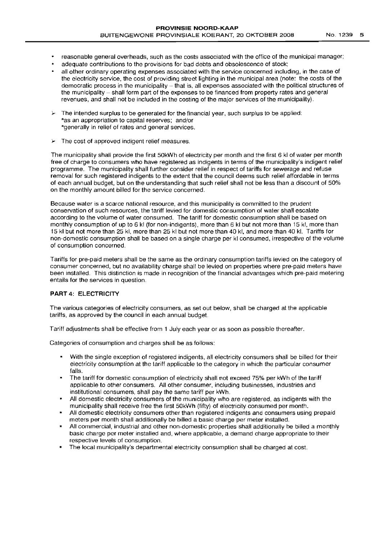- reasonable general overheads, such as the costs associated with the office of the municipal manager;
- adequate contributions to the provisions for bad debts and obsolescence of stock;
- all other ordinary operating expenses associated with the service concerned including, in the case of the electricity service, the cost of providing street lighting in the municipal area (note: the costs of the democratic process in the municipality - that is, all expenses associated with the political structures of the municipality – shall form part of the expenses to be financed from property rates and general revenues, and shall not be included in the costing of the major services of the municipality).
- The intended surplus to be generated for the financial year, such surplus to be applied: \*as an appropriation to capital reserves; and/or \*generally in relief of rates and general services.
- $\blacktriangleright$  The cost of approved indigent relief measures.

The municipality shall provide the first 50kWh of electricity per month and the first 6 kl of water per month free of charge to consumers who have registered as indigents in terms of the municipality's indigent relief programme. The municipality shall further consider relief in respect of tariffs for sewerage and refuse removal for such registered indigents to the extent that the council deems such relief affordable in terms of each annual budget, but on the understanding that such relief shall not be less than a discount of 50% on the monthly amount billed for the service concerned.

Because water is a scarce national resource, and this municipality is committed to the prudent conservation of such resources, the tariff levied for domestic consumption of water shall escalate according to the volume of water consumed. The tariff for domestic consumption shall be based on monthly consumption of up to 6 kl (for non-indigents), more than 6 kl but not more than 15 kl, more than 15 kl but not more than 25 kl, more than 25 kl but not more than 40 kl, and more than 40 kl. Tariffs for non-domestic consumption shall be based on a single charge per kl consumed, irrespective of the volume of consumption concerned.

Tariffs for pre-paid meters shall be the same as the ordinary consumption tariffs levied on the category of consumer concerned, but no availability charge shall be levied on properties where pre-paid meters have been installed. This distinction is made in recognition of the financial advantages which pre-paid metering entails for the services in question.

# **PART** 4: ELECTRICITY

The various categories of electricity consumers, as set out below, shall be charged at the applicable tariffs, as approved by the council in each annual budget.

Tariff adjustments shall be effective from 1 July each year or as soon as possible thereafter.

Categories of consumption and charges shall be as follows:

- With the single exception of registered indigents, all electricity consumers shall be billed for their electricity consumption at the tariff applicable to the category in which the particular consumer falls.
- The tariff for domestic consumption of electricity shall not exceed 75% per kWh of the tariff applicable to other consumers. All other consumer, including businesses, industries and institutional consumers, shall pay the same tariff per kWh.
- All domestic electricity consumers of the municipality who are registered, as indigents with the municipality shall receive free the first 50kWh (fifty) of electricity consumed per month.
- All domestic electricity consumers other than registered indigents and consumers using prepaid meters per month shall additionally be billed a basic charge per meter installed.
- All commercial, industrial and other non-domestic properties shall additionally be billed a monthly basic charge per meter installed and, where applicable, a demand charge appropriate to their respective levels of consumption.
- The local municipality's departmental electricity consumption shall be charged at cost.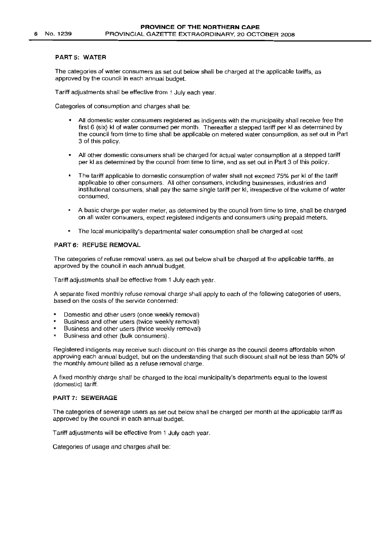### **PART** 5: WATER

The categories of water consumers as set out below shall be charged at the applicable tariffs, as approved by the council in each annual budget.

Tariff adjustments shall be effective from 1 July each year.

Categories of consumption and charges shall be:

- All domestic water consumers registered as indigents with the municipality shall receive free the first 6 (six) kl of water consumed per month. Thereafter a stepped tariff per kl as determined by the council from time to time shall be applicable on metered water consumption, as set out in Part 3 of this policy.
- All other domestic consumers shall be charged for actual water consumption at a stepped tariff per kl as determined by the council from time to time, and as set out in Part 3 of this policy.
- The tariff applicable to domestic consumption of water shall not exceed 75% per kl of the tariff applicable to other consumers. All other consumers, including businesses, industries and institutional consumers, shall pay the same single tariff per kl, irrespective of the volume of water consumed.
- A basic charge per water meter, as determined by the council from time to time, shall be charged on all water consumers, expect registered indigents and consumers using prepaid meters.
- The local municipality's departmental water consumption shall be charged at cost

#### PART 6: REFUSE REMOVAL

The categories of refuse removal users, as set out below shall be charged at the applicable tariffs, as approved by the council in each annual budget.

Tariff adjustments shall be effective from 1 July each year.

A separate fixed monthly refuse removal charge shall apply to each of the following categories of users, based on the costs of the service concerned:

- Domestic and other users (once weekly removal)
- Business and other users (twice weekly removal)
- Business and other users (thrice weekly removal)
- $\mathbf{m}$ Business and other (bulk consumers).

Registered indigents may receive such discount on this charge as the council deems affordable when approving each annual budget, but on the understanding that such discount shall not be less than 50% of the monthly amount billed as a refuse removal charge.

A fixed monthly charge shall be charged to the local municipality's departments equal to the lowest (domestic) tariff.

## PART 7: SEWERAGE

The categories of sewerage users as set out below shall be charged per month at the applicable tariff as approved by the council in each annual budget.

Tariff adjustments will be effective from 1 July each year.

Categories of usage and charges shall be: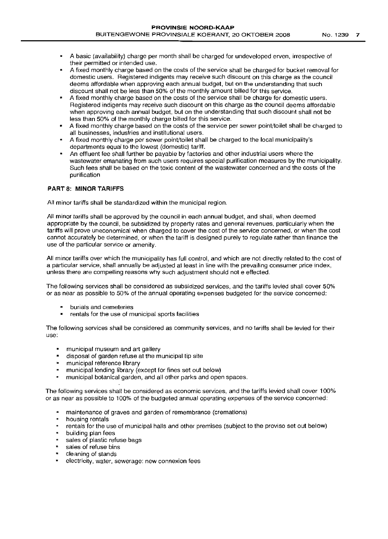- A basic (availability) charge per month shall be charged for undeveloped erven, irrespective of their permitted or intended use.
- A fixed monthly charge based on the costs of the service shall be charged for bucket removal for domestic users. Registered indigents may receive such discount on this charge as the council deems affordable when approvinq each annual budget, but on the understanding that such discount shall not be less than 50% of the monthly amount billed for this service.
- A fixed monthly charge based on the costs of the service shall be charge for domestic users. Registered indigents may receive such discount on this charge as the council deems affordable when approvinq each annual budget, but on the understanding that such discount shall not be less than 50% of the monthly charge billed for this service.
- A fixed monthly charge based on the costs of the service per sewer point/toilet shall be charged to all businesses, industries and institutional users.
- A fixed monthly charge per sewer point/toilet shall be charged to the local municipality's departments equal to the lowest (domestic) tariff.
- An effluent fee shall further be payable by factories and other industrial users where the wastewater emanating from such users requires special purification measures by the municipality. Such fees shall be based on the toxic content of the wastewater concerned and the costs of the purification

# **PART 8: MINOR TARIFFS**

All minor tariffs shall be standardized within the municipal region.

All minor tariffs shall be approved by the council in each annual budget, and shall, when deemed appropriate by the council, be subsidized by property rates and general revenues, particularly when the tariffs will prove uneconomical when charged to cover the cost of the service concerned, or when the cost cannot accurately be determined, or when the tariff is designed purely to regulate rather than finance the use of the particular service or amenity.

All minor tariffs over which the municipality has full control, and which are not directly related to the cost of a particular service, shall annually be adjusted at least in line with the prevailing consumer price index, unless there are compelling reasons why such adjustment should not e effected.

The following services shall be considered as subsidized services, and the tariffs levied shall cover 50% or as near as possible to 50% of the annual operating expenses budgeted for the service concerned:

- burials and cemeteries
- \* rentals for the use of municipal sports facilities

The following services shall be considered as community services, and no tariffs shall be levied for their use:

- municipal museum and art gallery
- $\mathbf{r}$ disposal of garden refuse at the municipal tip site
- municipal reference library
- municipal lending library (except for fines set out below)
- $\mathbf{R}$ municipal botanical garden, and all other parks and open spaces.

The following services shall be considered as economic services, and the tariffs levied shall cover 100% or as near as possible to 100% of the budqeted annual operating expenses of the service concerned:

- maintenance of graves and garden of remembrance (cremations)
- \* housing rentals
- rentals for the use of municipal halls and other premises (subject to the proviso set out below)
- **building plan fees**
- sales of plastic refuse bags
- **s** sales of refuse bins
- cleaning of stands
- electricity, water, sewerage: new connexion fees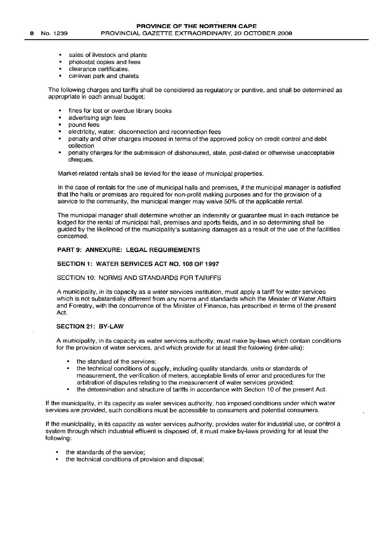- sales of livestock and plants
- photostat copies and fees
- clearance certificates.
- caravan park and chalets

The following charges and tariffs shall be considered as regulatory or punitive, and shall be determined as appropriate in each annual budget:

- fines for lost or overdue library books
- advertising sign fees
- pound fees
- electricity, water: disconnection and reconnection fees
- penalty and other charges imposed in terms of the approved policy on credit control and debt collection
- penalty charges for the submission of dishonoured, stale, post-dated or otherwise unacceptable cheques.

Market-related rentals shall be levied for the lease of municipal properties.

In the case of rentals for the use of municipal halls and premises, if the municipal manager is satisfied that the halls or premises are required for non-profit making purposes and for the provision of a service to the community, the municipal manger may waive 50% of the applicable rental.

The municipal manager shall determine whether an indemnity or guarantee must in each instance be lodged for the rental of municipal hall, premises and sports fields, and in so determining shall be guided by the likelihood of the municipality's sustaining damages as a result of the use of the facilities concerned.

#### PART 9: ANNEXURE: LEGAL REQUIREMENTS

#### SECTION 1: WATER SERVICES ACT NO. 108 OF 1997

# SECTION 10: NORMS AND STANDARDS FOR TARIFFS

A municipality, in its capacity as a water services institution, must apply a tariff for water services which is not substantially different from any norms and standards which the Minister of Water Affairs and Forestry, with the concurrence of the Minister of Finance, has prescribed in terms of the present Act.

# SECTION 21: BY-LAW

A municipality, in its capacity as water services authority, must make by-laws which contain conditions for the provision of water services, and which provide for at least the following (inter-alia):

- the standard of the services;
- the technical conditions of supply, including quality standards, units or standards of measurement, the verification of meters, acceptable limits of error and procedures for the arbitration of disputes relating to the measurement of water services provided;
- the determination and structure of tariffs in accordance with Section 10 of the present Act.

If the municipality, in its capacity as water services authority, has imposed conditions under which water services are provided, such conditions must be accessible to consumers and potential consumers.

If the municipality, in its capacity as water services authority, provides water for industrial use, or control a system through which industrial effluent is disposed of, it must make by-laws providing for at least the following:

- the standards of the service;
- the technical conditions of provision and disposal;